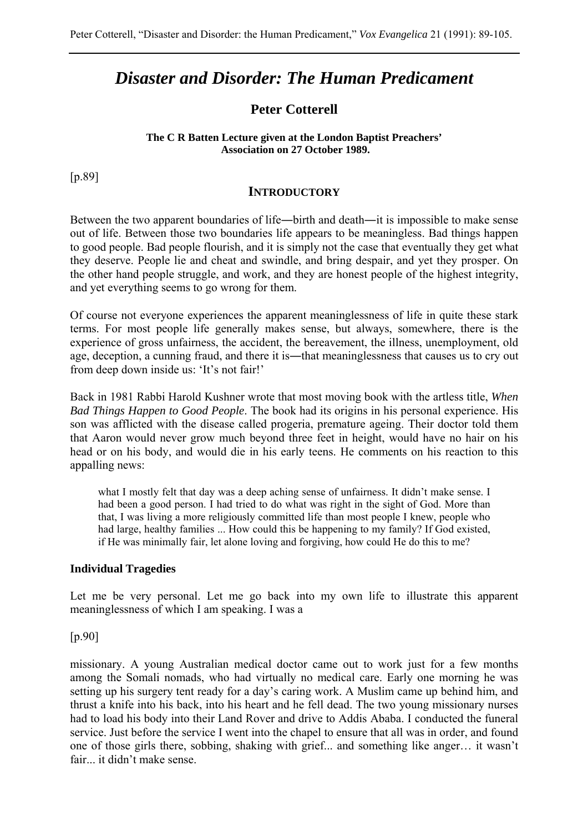# *Disaster and Disorder: The Human Predicament*

## **Peter Cotterell**

#### **The C R Batten Lecture given at the London Baptist Preachers' Association on 27 October 1989.**

[p.89]

## **INTRODUCTORY**

Between the two apparent boundaries of life―birth and death―it is impossible to make sense out of life. Between those two boundaries life appears to be meaningless. Bad things happen to good people. Bad people flourish, and it is simply not the case that eventually they get what they deserve. People lie and cheat and swindle, and bring despair, and yet they prosper. On the other hand people struggle, and work, and they are honest people of the highest integrity, and yet everything seems to go wrong for them.

Of course not everyone experiences the apparent meaninglessness of life in quite these stark terms. For most people life generally makes sense, but always, somewhere, there is the experience of gross unfairness, the accident, the bereavement, the illness, unemployment, old age, deception, a cunning fraud, and there it is—that meaninglessness that causes us to cry out from deep down inside us: 'It's not fair!'

Back in 1981 Rabbi Harold Kushner wrote that most moving book with the artless title, *When Bad Things Happen to Good People*. The book had its origins in his personal experience. His son was afflicted with the disease called progeria, premature ageing. Their doctor told them that Aaron would never grow much beyond three feet in height, would have no hair on his head or on his body, and would die in his early teens. He comments on his reaction to this appalling [news:](news:what) 

[what I m](news:what)ostly felt that day was a deep aching sense of unfairness. It didn't make sense. I had been a good person. I had tried to do what was right in the sight of God. More than that, I was living a more religiously committed life than most people I knew, people who had large, healthy families ... How could this be happening to my family? If God existed, if He was minimally fair, let alone loving and forgiving, how could He do this to me?

### **Individual Tragedies**

Let me be very personal. Let me go back into my own life to illustrate this apparent meaninglessness of which I am speaking. I was a

[p.90]

missionary. A young Australian medical doctor came out to work just for a few months among the Somali nomads, who had virtually no medical care. Early one morning he was setting up his surgery tent ready for a day's caring work. A Muslim came up behind him, and thrust a knife into his back, into his heart and he fell dead. The two young missionary nurses had to load his body into their Land Rover and drive to Addis Ababa. I conducted the funeral service. Just before the service I went into the chapel to ensure that all was in order, and found one of those girls there, sobbing, shaking with grief... and something like anger… it wasn't fair... it didn't make sense.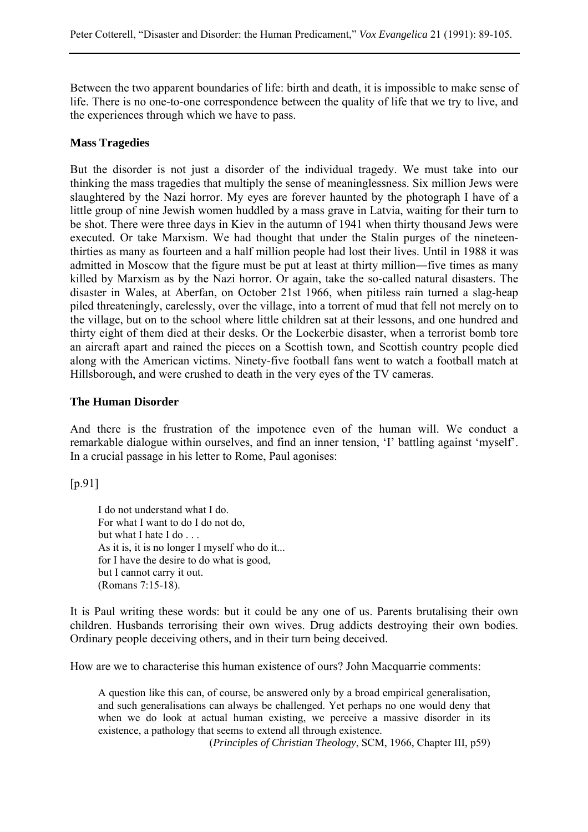Between the two apparent boundaries of life: birth and death, it is impossible to make sense of life. There is no one-to-one correspondence between the quality of life that we try to live, and the experiences through which we have to pass.

## **Mass Tragedies**

But the disorder is not just a disorder of the individual tragedy. We must take into our thinking the mass tragedies that multiply the sense of meaninglessness. Six million Jews were slaughtered by the Nazi horror. My eyes are forever haunted by the photograph I have of a little group of nine Jewish women huddled by a mass grave in Latvia, waiting for their turn to be shot. There were three days in Kiev in the autumn of 1941 when thirty thousand Jews were executed. Or take Marxism. We had thought that under the Stalin purges of the nineteenthirties as many as fourteen and a half million people had lost their lives. Until in 1988 it was admitted in Moscow that the figure must be put at least at thirty million―five times as many killed by Marxism as by the Nazi horror. Or again, take the so-called natural disasters. The disaster in Wales, at Aberfan, on October 21st 1966, when pitiless rain turned a slag-heap piled threateningly, carelessly, over the village, into a torrent of mud that fell not merely on to the village, but on to the school where little children sat at their lessons, and one hundred and thirty eight of them died at their desks. Or the Lockerbie disaster, when a terrorist bomb tore an aircraft apart and rained the pieces on a Scottish town, and Scottish country people died along with the American victims. Ninety-five football fans went to watch a football match at Hillsborough, and were crushed to death in the very eyes of the TV cameras.

## **The Human Disorder**

And there is the frustration of the impotence even of the human will. We conduct a remarkable dialogue within ourselves, and find an inner tension, 'I' battling against 'myself'. In a crucial passage in his letter to Rome, Paul agonises:

[p.91]

I do not understand what I do. For what I want to do I do not do, but what I hate I do . . . As it is, it is no longer I myself who do it... for I have the desire to do what is good, but I cannot carry it out. (Romans 7:15-18).

It is Paul writing these words: but it could be any one of us. Parents brutalising their own children. Husbands terrorising their own wives. Drug addicts destroying their own bodies. Ordinary people deceiving others, and in their turn being deceived.

How are we to characterise this human existence of ours? John Macquarrie comments:

A question like this can, of course, be answered only by a broad empirical generalisation, and such generalisations can always be challenged. Yet perhaps no one would deny that when we do look at actual human existing, we perceive a massive disorder in its existence, a pathology that seems to extend all through existence.

(*Principles of Christian Theology*, SCM, 1966, Chapter III, p59)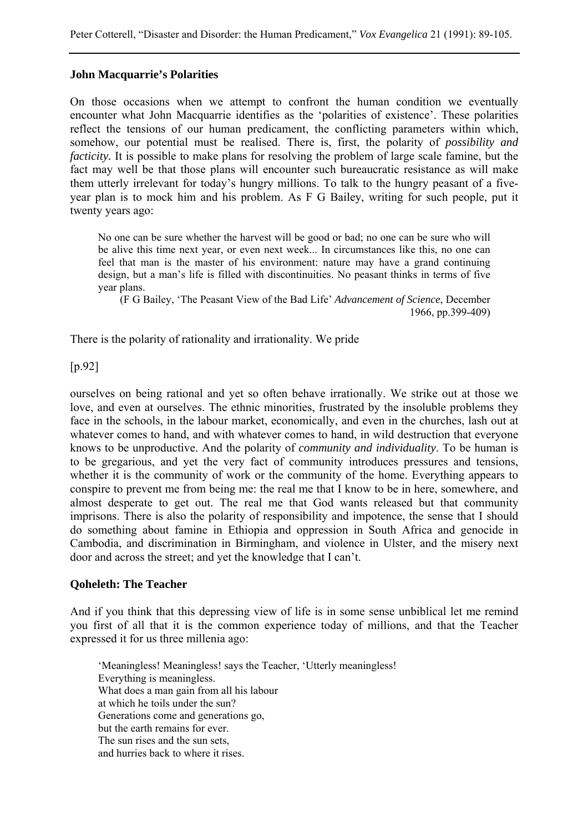## **John Macquarrie's Polarities**

On those occasions when we attempt to confront the human condition we eventually encounter what John Macquarrie identifies as the 'polarities of existence'. These polarities reflect the tensions of our human predicament, the conflicting parameters within which, somehow, our potential must be realised. There is, first, the polarity of *possibility and facticity*. It is possible to make plans for resolving the problem of large scale famine, but the fact may well be that those plans will encounter such bureaucratic resistance as will make them utterly irrelevant for today's hungry millions. To talk to the hungry peasant of a fiveyear plan is to mock him and his problem. As F G Bailey, writing for such people, put it twenty years ago:

No one can be sure whether the harvest will be good or bad; no one can be sure who will be alive this time next year, or even next week... In circumstances like this, no one can feel that man is the master of his environment: nature may have a grand continuing design, but a man's life is filled with discontinuities. No peasant thinks in terms of five year plans.

(F G Bailey, 'The Peasant View of the Bad Life' *Advancement of Science*, December 1966, pp.399-409)

There is the polarity of rationality and irrationality. We pride

## [p.92]

ourselves on being rational and yet so often behave irrationally. We strike out at those we love, and even at ourselves. The ethnic minorities, frustrated by the insoluble problems they face in the schools, in the labour market, economically, and even in the churches, lash out at whatever comes to hand, and with whatever comes to hand, in wild destruction that everyone knows to be unproductive. And the polarity of *community and individuality*. To be human is to be gregarious, and yet the very fact of community introduces pressures and tensions, whether it is the community of work or the community of the home. Everything appears to conspire to prevent me from being me: the real me that I know to be in here, somewhere, and almost desperate to get out. The real me that God wants released but that community imprisons. There is also the polarity of responsibility and impotence, the sense that I should do something about famine in Ethiopia and oppression in South Africa and genocide in Cambodia, and discrimination in Birmingham, and violence in Ulster, and the misery next door and across the street; and yet the knowledge that I can't.

### **Qoheleth: The Teacher**

And if you think that this depressing view of life is in some sense unbiblical let me remind you first of all that it is the common experience today of millions, and that the Teacher expressed it for us three millenia ago:

'Meaningless! Meaningless! says the Teacher, 'Utterly meaningless! Everything is meaningless. What does a man gain from all his labour at which he toils under the sun? Generations come and generations go, but the earth remains for ever. The sun rises and the sun sets, and hurries back to where it rises.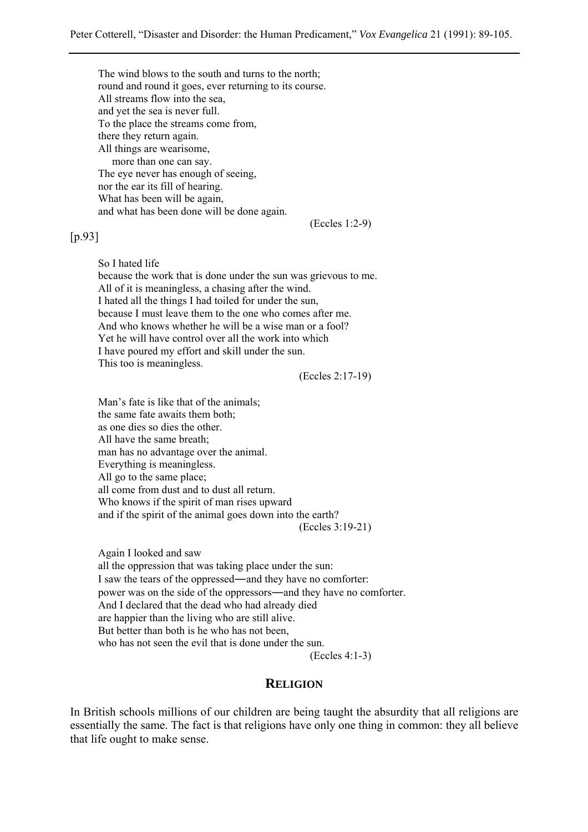The wind blows to the south and turns to the north; round and round it goes, ever returning to its course. All streams flow into the sea, and yet the sea is never full. To the place the streams come from, there they return again. All things are wearisome, more than one can say. The eye never has enough of seeing, nor the ear its fill of hearing. What has been will be again, and what has been done will be done again.

#### [p.93]

(Eccles 1:2-9)

So I hated life

because the work that is done under the sun was grievous to me. All of it is meaningless, a chasing after the wind. I hated all the things I had toiled for under the sun, because I must leave them to the one who comes after me. And who knows whether he will be a wise man or a fool? Yet he will have control over all the work into which I have poured my effort and skill under the sun. This too is meaningless.

(Eccles 2:17-19)

Man's fate is like that of the animals; the same fate awaits them both; as one dies so dies the other. All have the same breath; man has no advantage over the animal. Everything is meaningless. All go to the same place; all come from dust and to dust all return. Who knows if the spirit of man rises upward and if the spirit of the animal goes down into the earth? (Eccles 3:19-21)

Again I looked and saw all the oppression that was taking place under the sun: I saw the tears of the oppressed―and they have no comforter: power was on the side of the oppressors―and they have no comforter. And I declared that the dead who had already died are happier than the living who are still alive. But better than both is he who has not been, who has not seen the evil that is done under the sun.

(Eccles 4:1-3)

#### **RELIGION**

In British schools millions of our children are being taught the absurdity that all religions are essentially the same. The fact is that religions have only one thing in common: they all believe that life ought to make sense.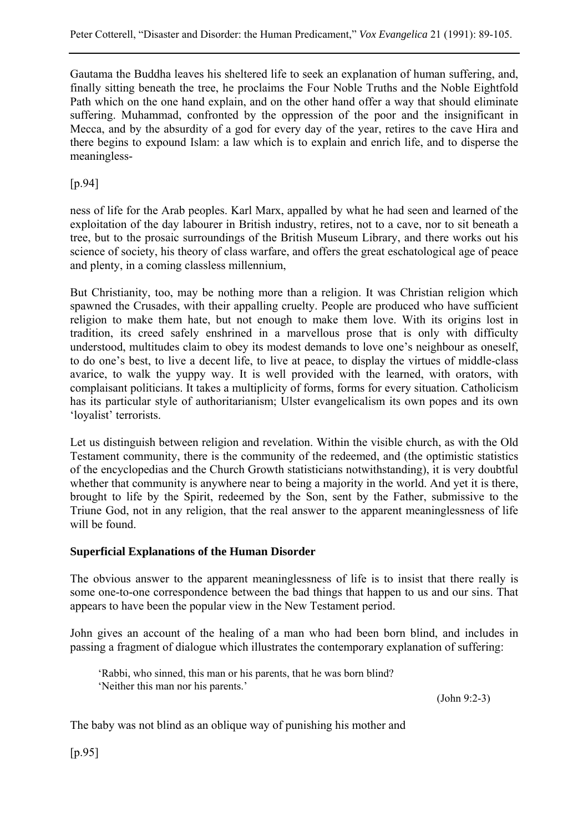Gautama the Buddha leaves his sheltered life to seek an explanation of human suffering, and, finally sitting beneath the tree, he proclaims the Four Noble Truths and the Noble Eightfold Path which on the one hand explain, and on the other hand offer a way that should eliminate suffering. Muhammad, confronted by the oppression of the poor and the insignificant in Mecca, and by the absurdity of a god for every day of the year, retires to the cave Hira and there begins to expound Islam: a law which is to explain and enrich life, and to disperse the meaningless-

[p.94]

ness of life for the Arab peoples. Karl Marx, appalled by what he had seen and learned of the exploitation of the day labourer in British industry, retires, not to a cave, nor to sit beneath a tree, but to the prosaic surroundings of the British Museum Library, and there works out his science of society, his theory of class warfare, and offers the great eschatological age of peace and plenty, in a coming classless millennium,

But Christianity, too, may be nothing more than a religion. It was Christian religion which spawned the Crusades, with their appalling cruelty. People are produced who have sufficient religion to make them hate, but not enough to make them love. With its origins lost in tradition, its creed safely enshrined in a marvellous prose that is only with difficulty understood, multitudes claim to obey its modest demands to love one's neighbour as oneself, to do one's best, to live a decent life, to live at peace, to display the virtues of middle-class avarice, to walk the yuppy way. It is well provided with the learned, with orators, with complaisant politicians. It takes a multiplicity of forms, forms for every situation. Catholicism has its particular style of authoritarianism; Ulster evangelicalism its own popes and its own 'loyalist' terrorists.

Let us distinguish between religion and revelation. Within the visible church, as with the Old Testament community, there is the community of the redeemed, and (the optimistic statistics of the encyclopedias and the Church Growth statisticians notwithstanding), it is very doubtful whether that community is anywhere near to being a majority in the world. And yet it is there, brought to life by the Spirit, redeemed by the Son, sent by the Father, submissive to the Triune God, not in any religion, that the real answer to the apparent meaninglessness of life will be found.

### **Superficial Explanations of the Human Disorder**

The obvious answer to the apparent meaninglessness of life is to insist that there really is some one-to-one correspondence between the bad things that happen to us and our sins. That appears to have been the popular view in the New Testament period.

John gives an account of the healing of a man who had been born blind, and includes in passing a fragment of dialogue which illustrates the contemporary explanation of suffering:

'Rabbi, who sinned, this man or his parents, that he was born blind? 'Neither this man nor his parents.'

(John 9:2-3)

The baby was not blind as an oblique way of punishing his mother and

 $[p.95]$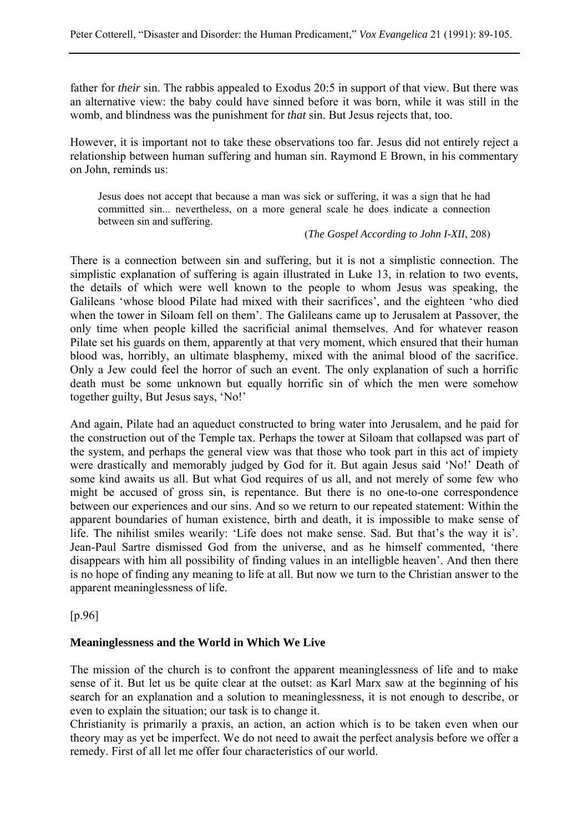father for *their* sin. The rabbis appealed to Exodus 20:5 in support of that view. But there was an alternative view: the baby could have sinned before it was born, while it was still in the womb, and blindness was the punishment for *that* sin. But Jesus rejects that, too.

However, it is important not to take these observations too far. Jesus did not entirely reject a relationship between human suffering and human sin. Raymond E Brown, in his commentary on John, reminds us:

Jesus does not accept that because a man was sick or suffering, it was a sign that he had committed sin... nevertheless, on a more general scale he does indicate a connection between sin and suffering.

(*The Gospel According to John I-XII*, 208)

There is a connection between sin and suffering, but it is not a simplistic connection. The simplistic explanation of suffering is again illustrated in Luke 13, in relation to two events, the details of which were well known to the people to whom Jesus was speaking, the Galileans 'whose blood Pilate had mixed with their sacrifices', and the eighteen 'who died when the tower in Siloam fell on them'. The Galileans came up to Jerusalem at Passover, the only time when people killed the sacrificial animal themselves. And for whatever reason Pilate set his guards on them, apparently at that very moment, which ensured that their human blood was, horribly, an ultimate blasphemy, mixed with the animal blood of the sacrifice. Only a Jew could feel the horror of such an event. The only explanation of such a horrific death must be some unknown but equally horrific sin of which the men were somehow together guilty, But Jesus says, 'No!'

And again, Pilate had an aqueduct constructed to bring water into Jerusalem, and he paid for the construction out of the Temple tax. Perhaps the tower at Siloam that collapsed was part of the system, and perhaps the general view was that those who took part in this act of impiety were drastically and memorably judged by God for it. But again Jesus said 'No!' Death of some kind awaits us all. But what God requires of us all, and not merely of some few who might be accused of gross sin, is repentance. But there is no one-to-one correspondence between our experiences and our sins. And so we return to our repeated statement: Within the apparent boundaries of human existence, birth and death, it is impossible to make sense of life. The nihilist smiles wearily: 'Life does not make sense. Sad. But that's the way it is'. Jean-Paul Sartre dismissed God from the universe, and as he himself commented, 'there disappears with him all possibility of finding values in an intelligble heaven'. And then there is no hope of finding any meaning to life at all. But now we turn to the Christian answer to the apparent meaninglessness of life.

[p.96]

### **Meaninglessness and the World in Which We Live**

The mission of the church is to confront the apparent meaninglessness of life and to make sense of it. But let us be quite clear at the outset: as Karl Marx saw at the beginning of his search for an explanation and a solution to meaninglessness, it is not enough to describe, or even to explain the situation; our task is to change it.

Christianity is primarily a praxis, an action, an action which is to be taken even when our theory may as yet be imperfect. We do not need to await the perfect analysis before we offer a remedy. First of all let me offer four characteristics of our world.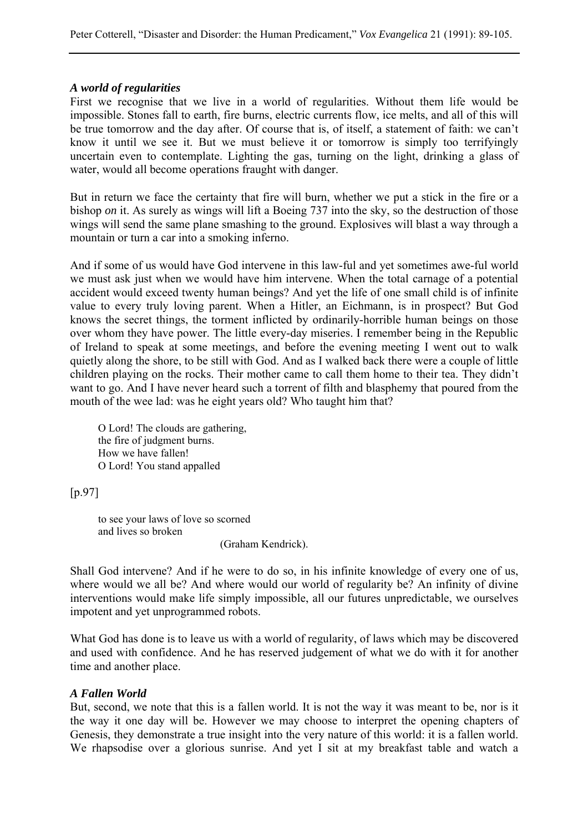### *A world of regularities*

First we recognise that we live in a world of regularities. Without them life would be impossible. Stones fall to earth, fire burns, electric currents flow, ice melts, and all of this will be true tomorrow and the day after. Of course that is, of itself, a statement of faith: we can't know it until we see it. But we must believe it or tomorrow is simply too terrifyingly uncertain even to contemplate. Lighting the gas, turning on the light, drinking a glass of water, would all become operations fraught with danger.

But in return we face the certainty that fire will burn, whether we put a stick in the fire or a bishop *on* it. As surely as wings will lift a Boeing 737 into the sky, so the destruction of those wings will send the same plane smashing to the ground. Explosives will blast a way through a mountain or turn a car into a smoking inferno.

And if some of us would have God intervene in this law-ful and yet sometimes awe-ful world we must ask just when we would have him intervene. When the total carnage of a potential accident would exceed twenty human beings? And yet the life of one small child is of infinite value to every truly loving parent. When a Hitler, an Eichmann, is in prospect? But God knows the secret things, the torment inflicted by ordinarily-horrible human beings on those over whom they have power. The little every-day miseries. I remember being in the Republic of Ireland to speak at some meetings, and before the evening meeting I went out to walk quietly along the shore, to be still with God. And as I walked back there were a couple of little children playing on the rocks. Their mother came to call them home to their tea. They didn't want to go. And I have never heard such a torrent of filth and blasphemy that poured from the mouth of the wee lad: was he eight years old? Who taught him that?

O Lord! The clouds are gathering, the fire of judgment burns. How we have fallen! O Lord! You stand appalled

[p.97]

to see your laws of love so scorned and lives so broken

(Graham Kendrick).

Shall God intervene? And if he were to do so, in his infinite knowledge of every one of us, where would we all be? And where would our world of regularity be? An infinity of divine interventions would make life simply impossible, all our futures unpredictable, we ourselves impotent and yet unprogrammed robots.

What God has done is to leave us with a world of regularity, of laws which may be discovered and used with confidence. And he has reserved judgement of what we do with it for another time and another place.

### *A Fallen World*

But, second, we note that this is a fallen world. It is not the way it was meant to be, nor is it the way it one day will be. However we may choose to interpret the opening chapters of Genesis, they demonstrate a true insight into the very nature of this world: it is a fallen world. We rhapsodise over a glorious sunrise. And yet I sit at my breakfast table and watch a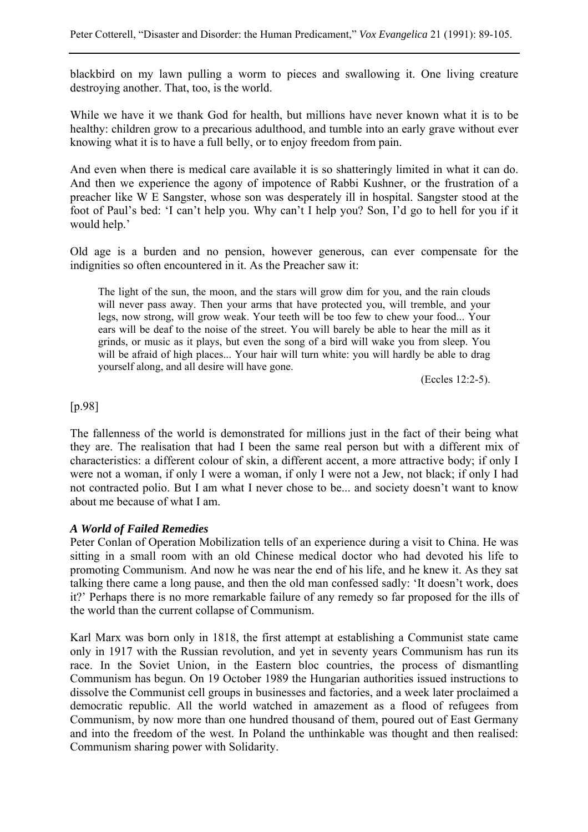blackbird on my lawn pulling a worm to pieces and swallowing it. One living creature destroying another. That, too, is the world.

While we have it we thank God for health, but millions have never known what it is to be healthy: children grow to a precarious adulthood, and tumble into an early grave without ever knowing what it is to have a full belly, or to enjoy freedom from pain.

And even when there is medical care available it is so shatteringly limited in what it can do. And then we experience the agony of impotence of Rabbi Kushner, or the frustration of a preacher like W E Sangster, whose son was desperately ill in hospital. Sangster stood at the foot of Paul's bed: 'I can't help you. Why can't I help you? Son, I'd go to hell for you if it would help.'

Old age is a burden and no pension, however generous, can ever compensate for the indignities so often encountered in it. As the Preacher saw it:

The light of the sun, the moon, and the stars will grow dim for you, and the rain clouds will never pass away. Then your arms that have protected you, will tremble, and your legs, now strong, will grow weak. Your teeth will be too few to chew your food... Your ears will be deaf to the noise of the street. You will barely be able to hear the mill as it grinds, or music as it plays, but even the song of a bird will wake you from sleep. You will be afraid of high places... Your hair will turn white: you will hardly be able to drag yourself along, and all desire will have gone.

(Eccles 12:2-5).

## [p.98]

The fallenness of the world is demonstrated for millions just in the fact of their being what they are. The realisation that had I been the same real person but with a different mix of characteristics: a different colour of skin, a different accent, a more attractive body; if only I were not a woman, if only I were a woman, if only I were not a Jew, not black; if only I had not contracted polio. But I am what I never chose to be... and society doesn't want to know about me because of what I am.

## *A World of Failed Remedies*

Peter Conlan of Operation Mobilization tells of an experience during a visit to China. He was sitting in a small room with an old Chinese medical doctor who had devoted his life to promoting Communism. And now he was near the end of his life, and he knew it. As they sat talking there came a long pause, and then the old man confessed sadly: 'It doesn't work, does it?' Perhaps there is no more remarkable failure of any remedy so far proposed for the ills of the world than the current collapse of Communism.

Karl Marx was born only in 1818, the first attempt at establishing a Communist state came only in 1917 with the Russian revolution, and yet in seventy years Communism has run its race. In the Soviet Union, in the Eastern bloc countries, the process of dismantling Communism has begun. On 19 October 1989 the Hungarian authorities issued instructions to dissolve the Communist cell groups in businesses and factories, and a week later proclaimed a democratic republic. All the world watched in amazement as a flood of refugees from Communism, by now more than one hundred thousand of them, poured out of East Germany and into the freedom of the west. In Poland the unthinkable was thought and then realised: Communism sharing power with Solidarity.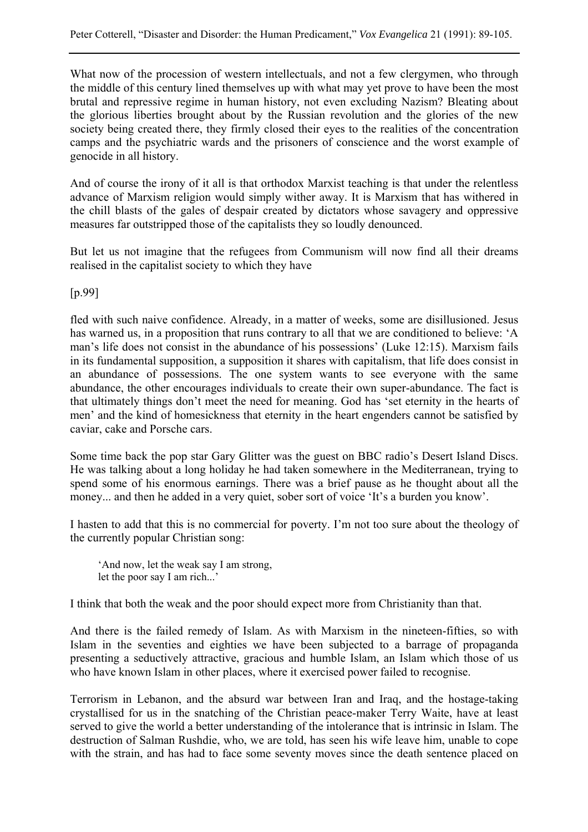What now of the procession of western intellectuals, and not a few clergymen, who through the middle of this century lined themselves up with what may yet prove to have been the most brutal and repressive regime in human history, not even excluding Nazism? Bleating about the glorious liberties brought about by the Russian revolution and the glories of the new society being created there, they firmly closed their eyes to the realities of the concentration camps and the psychiatric wards and the prisoners of conscience and the worst example of genocide in all history.

And of course the irony of it all is that orthodox Marxist teaching is that under the relentless advance of Marxism religion would simply wither away. It is Marxism that has withered in the chill blasts of the gales of despair created by dictators whose savagery and oppressive measures far outstripped those of the capitalists they so loudly denounced.

But let us not imagine that the refugees from Communism will now find all their dreams realised in the capitalist society to which they have

[p.99]

fled with such naive confidence. Already, in a matter of weeks, some are disillusioned. Jesus has warned us, in a proposition that runs contrary to all that we are conditioned to believe: 'A man's life does not consist in the abundance of his possessions' (Luke 12:15). Marxism fails in its fundamental supposition, a supposition it shares with capitalism, that life does consist in an abundance of possessions. The one system wants to see everyone with the same abundance, the other encourages individuals to create their own super-abundance. The fact is that ultimately things don't meet the need for meaning. God has 'set eternity in the hearts of men' and the kind of homesickness that eternity in the heart engenders cannot be satisfied by caviar, cake and Porsche cars.

Some time back the pop star Gary Glitter was the guest on BBC radio's Desert Island Discs. He was talking about a long holiday he had taken somewhere in the Mediterranean, trying to spend some of his enormous earnings. There was a brief pause as he thought about all the money... and then he added in a very quiet, sober sort of voice 'It's a burden you know'.

I hasten to add that this is no commercial for poverty. I'm not too sure about the theology of the currently popular Christian song:

'And now, let the weak say I am strong, let the poor say I am rich...'

I think that both the weak and the poor should expect more from Christianity than that.

And there is the failed remedy of Islam. As with Marxism in the nineteen-fifties, so with Islam in the seventies and eighties we have been subjected to a barrage of propaganda presenting a seductively attractive, gracious and humble Islam, an Islam which those of us who have known Islam in other places, where it exercised power failed to recognise.

Terrorism in Lebanon, and the absurd war between Iran and Iraq, and the hostage-taking crystallised for us in the snatching of the Christian peace-maker Terry Waite, have at least served to give the world a better understanding of the intolerance that is intrinsic in Islam. The destruction of Salman Rushdie, who, we are told, has seen his wife leave him, unable to cope with the strain, and has had to face some seventy moves since the death sentence placed on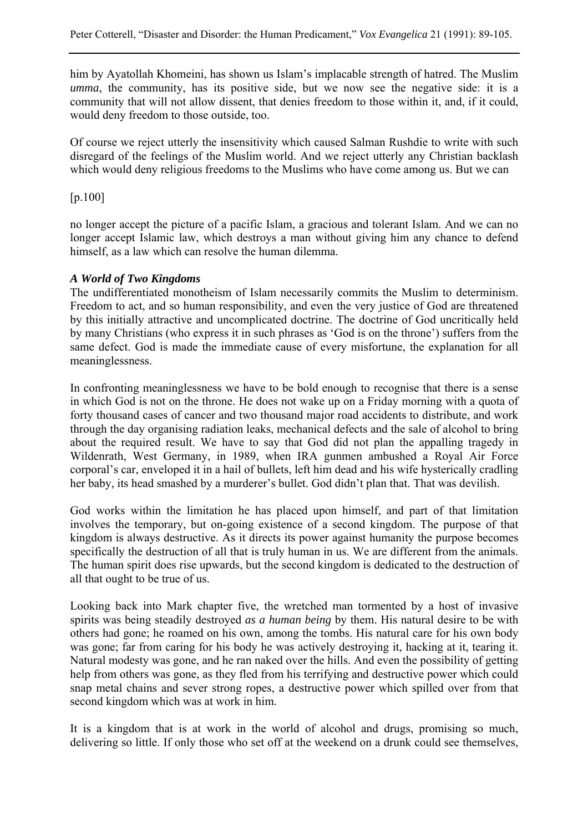him by Ayatollah Khomeini, has shown us Islam's implacable strength of hatred. The Muslim *umma*, the community, has its positive side, but we now see the negative side: it is a community that will not allow dissent, that denies freedom to those within it, and, if it could, would deny freedom to those outside, too.

Of course we reject utterly the insensitivity which caused Salman Rushdie to write with such disregard of the feelings of the Muslim world. And we reject utterly any Christian backlash which would deny religious freedoms to the Muslims who have come among us. But we can

[p.100]

no longer accept the picture of a pacific Islam, a gracious and tolerant Islam. And we can no longer accept Islamic law, which destroys a man without giving him any chance to defend himself, as a law which can resolve the human dilemma.

### *A World of Two Kingdoms*

The undifferentiated monotheism of Islam necessarily commits the Muslim to determinism. Freedom to act, and so human responsibility, and even the very justice of God are threatened by this initially attractive and uncomplicated doctrine. The doctrine of God uncritically held by many Christians (who express it in such phrases as 'God is on the throne') suffers from the same defect. God is made the immediate cause of every misfortune, the explanation for all meaninglessness.

In confronting meaninglessness we have to be bold enough to recognise that there is a sense in which God is not on the throne. He does not wake up on a Friday morning with a quota of forty thousand cases of cancer and two thousand major road accidents to distribute, and work through the day organising radiation leaks, mechanical defects and the sale of alcohol to bring about the required result. We have to say that God did not plan the appalling tragedy in Wildenrath, West Germany, in 1989, when IRA gunmen ambushed a Royal Air Force corporal's car, enveloped it in a hail of bullets, left him dead and his wife hysterically cradling her baby, its head smashed by a murderer's bullet. God didn't plan that. That was devilish.

God works within the limitation he has placed upon himself, and part of that limitation involves the temporary, but on-going existence of a second kingdom. The purpose of that kingdom is always destructive. As it directs its power against humanity the purpose becomes specifically the destruction of all that is truly human in us. We are different from the animals. The human spirit does rise upwards, but the second kingdom is dedicated to the destruction of all that ought to be true of us.

Looking back into Mark chapter five, the wretched man tormented by a host of invasive spirits was being steadily destroyed *as a human being* by them. His natural desire to be with others had gone; he roamed on his own, among the tombs. His natural care for his own body was gone; far from caring for his body he was actively destroying it, hacking at it, tearing it. Natural modesty was gone, and he ran naked over the hills. And even the possibility of getting help from others was gone, as they fled from his terrifying and destructive power which could snap metal chains and sever strong ropes, a destructive power which spilled over from that second kingdom which was at work in him.

It is a kingdom that is at work in the world of alcohol and drugs, promising so much, delivering so little. If only those who set off at the weekend on a drunk could see themselves,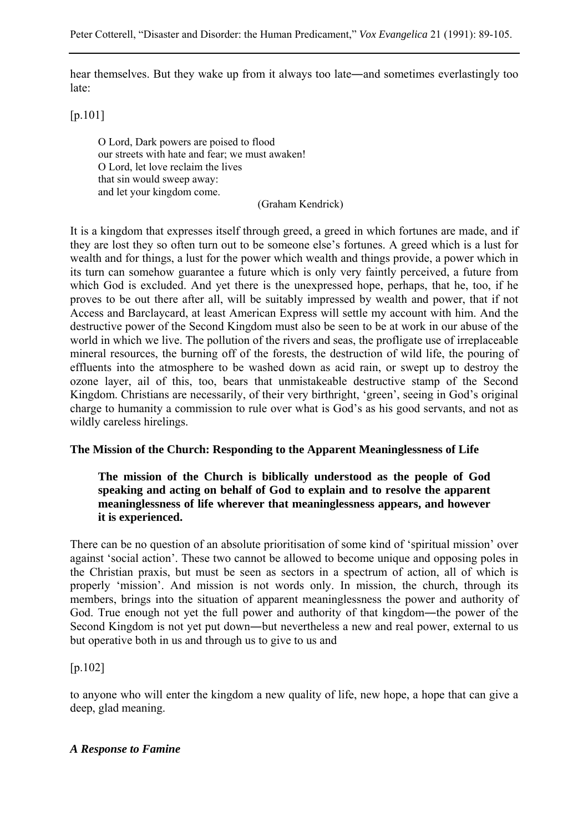hear themselves. But they wake up from it always too late—and sometimes everlastingly too late:

[p.101]

O Lord, Dark powers are poised to flood our streets with hate and fear; we must awaken! O Lord, let love reclaim the lives that sin would sweep away: and let your kingdom come.

(Graham Kendrick)

It is a kingdom that expresses itself through greed, a greed in which fortunes are made, and if they are lost they so often turn out to be someone else's fortunes. A greed which is a lust for wealth and for things, a lust for the power which wealth and things provide, a power which in its turn can somehow guarantee a future which is only very faintly perceived, a future from which God is excluded. And yet there is the unexpressed hope, perhaps, that he, too, if he proves to be out there after all, will be suitably impressed by wealth and power, that if not Access and Barclaycard, at least American Express will settle my account with him. And the destructive power of the Second Kingdom must also be seen to be at work in our abuse of the world in which we live. The pollution of the rivers and seas, the profligate use of irreplaceable mineral resources, the burning off of the forests, the destruction of wild life, the pouring of effluents into the atmosphere to be washed down as acid rain, or swept up to destroy the ozone layer, ail of this, too, bears that unmistakeable destructive stamp of the Second Kingdom. Christians are necessarily, of their very birthright, 'green', seeing in God's original charge to humanity a commission to rule over what is God's as his good servants, and not as wildly careless hirelings.

## **The Mission of the Church: Responding to the Apparent Meaninglessness of Life**

## **The mission of the Church is biblically understood as the people of God speaking and acting on behalf of God to explain and to resolve the apparent meaninglessness of life wherever that meaninglessness appears, and however it is experienced.**

There can be no question of an absolute prioritisation of some kind of 'spiritual mission' over against 'social action'. These two cannot be allowed to become unique and opposing poles in the Christian praxis, but must be seen as sectors in a spectrum of action, all of which is properly 'mission'. And mission is not words only. In mission, the church, through its members, brings into the situation of apparent meaninglessness the power and authority of God. True enough not yet the full power and authority of that kingdom—the power of the Second Kingdom is not yet put down―but nevertheless a new and real power, external to us but operative both in us and through us to give to us and

[p.102]

to anyone who will enter the kingdom a new quality of life, new hope, a hope that can give a deep, glad meaning.

## *A Response to Famine*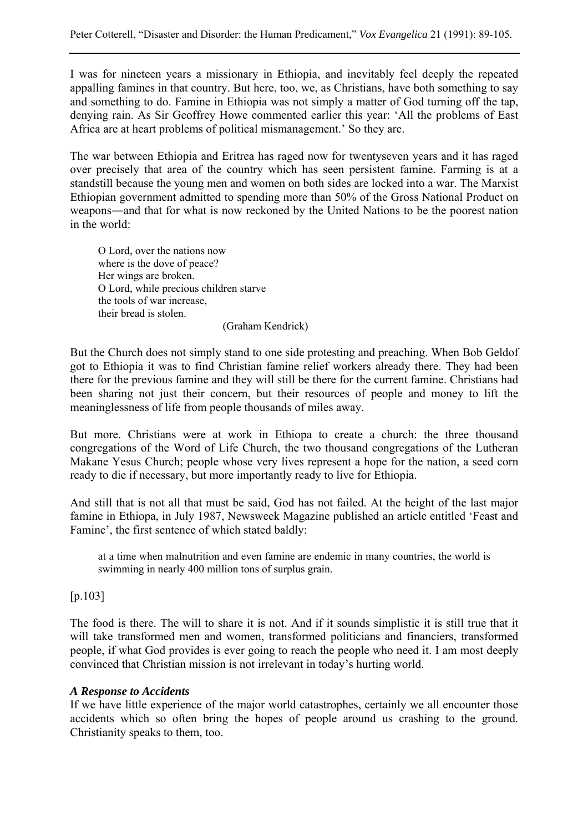I was for nineteen years a missionary in Ethiopia, and inevitably feel deeply the repeated appalling famines in that country. But here, too, we, as Christians, have both something to say and something to do. Famine in Ethiopia was not simply a matter of God turning off the tap, denying rain. As Sir Geoffrey Howe commented earlier this year: 'All the problems of East Africa are at heart problems of political mismanagement.' So they are.

The war between Ethiopia and Eritrea has raged now for twentyseven years and it has raged over precisely that area of the country which has seen persistent famine. Farming is at a standstill because the young men and women on both sides are locked into a war. The Marxist Ethiopian government admitted to spending more than 50% of the Gross National Product on weapons―and that for what is now reckoned by the United Nations to be the poorest nation in the world:

O Lord, over the nations now where is the dove of peace? Her wings are broken. O Lord, while precious children starve the tools of war increase, their bread is stolen.

(Graham Kendrick)

But the Church does not simply stand to one side protesting and preaching. When Bob Geldof got to Ethiopia it was to find Christian famine relief workers already there. They had been there for the previous famine and they will still be there for the current famine. Christians had been sharing not just their concern, but their resources of people and money to lift the meaninglessness of life from people thousands of miles away.

But more. Christians were at work in Ethiopa to create a church: the three thousand congregations of the Word of Life Church, the two thousand congregations of the Lutheran Makane Yesus Church; people whose very lives represent a hope for the nation, a seed corn ready to die if necessary, but more importantly ready to live for Ethiopia.

And still that is not all that must be said, God has not failed. At the height of the last major famine in Ethiopa, in July 1987, Newsweek Magazine published an article entitled 'Feast and Famine', the first sentence of which stated baldly:

at a time when malnutrition and even famine are endemic in many countries, the world is swimming in nearly 400 million tons of surplus grain.

[p.103]

The food is there. The will to share it is not. And if it sounds simplistic it is still true that it will take transformed men and women, transformed politicians and financiers, transformed people, if what God provides is ever going to reach the people who need it. I am most deeply convinced that Christian mission is not irrelevant in today's hurting world.

### *A Response to Accidents*

If we have little experience of the major world catastrophes, certainly we all encounter those accidents which so often bring the hopes of people around us crashing to the ground. Christianity speaks to them, too.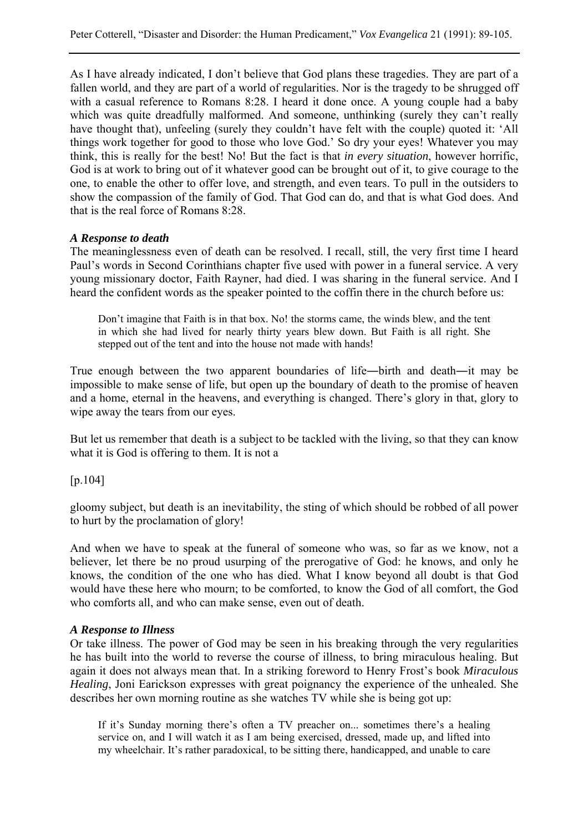As I have already indicated, I don't believe that God plans these tragedies. They are part of a fallen world, and they are part of a world of regularities. Nor is the tragedy to be shrugged off with a casual reference to Romans 8:28. I heard it done once. A young couple had a baby which was quite dreadfully malformed. And someone, unthinking (surely they can't really have thought that), unfeeling (surely they couldn't have felt with the couple) quoted it: 'All things work together for good to those who love God.' So dry your eyes! Whatever you may think, this is really for the best! No! But the fact is that *in every situation*, however horrific, God is at work to bring out of it whatever good can be brought out of it, to give courage to the one, to enable the other to offer love, and strength, and even tears. To pull in the outsiders to show the compassion of the family of God. That God can do, and that is what God does. And that is the real force of Romans 8:28.

## *A Response to death*

The meaninglessness even of death can be resolved. I recall, still, the very first time I heard Paul's words in Second Corinthians chapter five used with power in a funeral service. A very young missionary doctor, Faith Rayner, had died. I was sharing in the funeral service. And I heard the confident words as the speaker pointed to the coffin there in the church before us:

Don't imagine that Faith is in that box. No! the storms came, the winds blew, and the tent in which she had lived for nearly thirty years blew down. But Faith is all right. She stepped out of the tent and into the house not made with hands!

True enough between the two apparent boundaries of life―birth and death―it may be impossible to make sense of life, but open up the boundary of death to the promise of heaven and a home, eternal in the heavens, and everything is changed. There's glory in that, glory to wipe away the tears from our eyes.

But let us remember that death is a subject to be tackled with the living, so that they can know what it is God is offering to them. It is not a

[p.104]

gloomy subject, but death is an inevitability, the sting of which should be robbed of all power to hurt by the proclamation of glory!

And when we have to speak at the funeral of someone who was, so far as we know, not a believer, let there be no proud usurping of the prerogative of God: he knows, and only he knows, the condition of the one who has died. What I know beyond all doubt is that God would have these here who mourn; to be comforted, to know the God of all comfort, the God who comforts all, and who can make sense, even out of death.

## *A Response to Illness*

Or take illness. The power of God may be seen in his breaking through the very regularities he has built into the world to reverse the course of illness, to bring miraculous healing. But again it does not always mean that. In a striking foreword to Henry Frost's book *Miraculous Healing*, Joni Earickson expresses with great poignancy the experience of the unhealed. She describes her own morning routine as she watches TV while she is being got up:

If it's Sunday morning there's often a TV preacher on... sometimes there's a healing service on, and I will watch it as I am being exercised, dressed, made up, and lifted into my wheelchair. It's rather paradoxical, to be sitting there, handicapped, and unable to care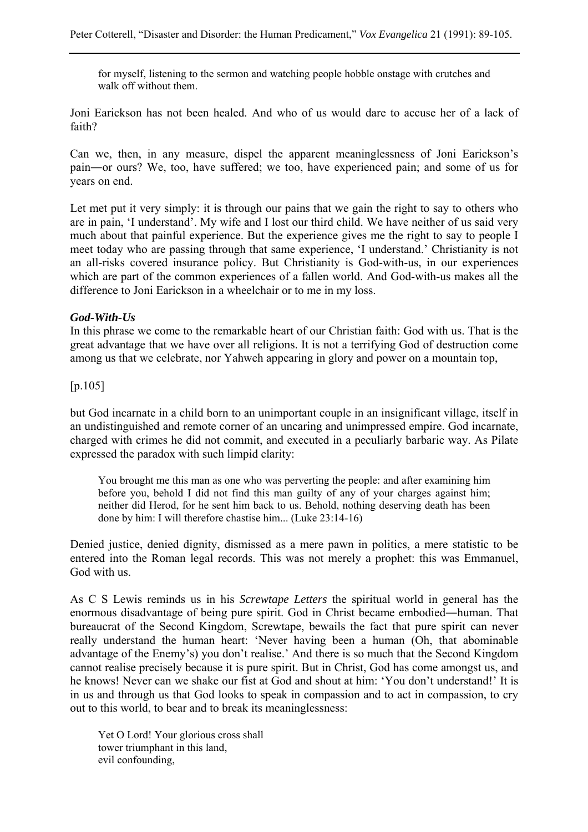for myself, listening to the sermon and watching people hobble onstage with crutches and walk off without them.

Joni Earickson has not been healed. And who of us would dare to accuse her of a lack of faith?

Can we, then, in any measure, dispel the apparent meaninglessness of Joni Earickson's pain―or ours? We, too, have suffered; we too, have experienced pain; and some of us for years on end.

Let met put it very simply: it is through our pains that we gain the right to say to others who are in pain, 'I understand'. My wife and I lost our third child. We have neither of us said very much about that painful experience. But the experience gives me the right to say to people I meet today who are passing through that same experience, 'I understand.' Christianity is not an all-risks covered insurance policy. But Christianity is God-with-us, in our experiences which are part of the common experiences of a fallen world. And God-with-us makes all the difference to Joni Earickson in a wheelchair or to me in my loss.

## *God-With-Us*

In this phrase we come to the remarkable heart of our Christian faith: God with us. That is the great advantage that we have over all religions. It is not a terrifying God of destruction come among us that we celebrate, nor Yahweh appearing in glory and power on a mountain top,

 $[p.105]$ 

but God incarnate in a child born to an unimportant couple in an insignificant village, itself in an undistinguished and remote corner of an uncaring and unimpressed empire. God incarnate, charged with crimes he did not commit, and executed in a peculiarly barbaric way. As Pilate expressed the paradox with such limpid clarity:

You brought me this man as one who was perverting the people: and after examining him before you, behold I did not find this man guilty of any of your charges against him; neither did Herod, for he sent him back to us. Behold, nothing deserving death has been done by him: I will therefore chastise him... (Luke 23:14-16)

Denied justice, denied dignity, dismissed as a mere pawn in politics, a mere statistic to be entered into the Roman legal records. This was not merely a prophet: this was Emmanuel, God with us.

As C S Lewis reminds us in his *Screwtape Letters* the spiritual world in general has the enormous disadvantage of being pure spirit. God in Christ became embodied―human. That bureaucrat of the Second Kingdom, Screwtape, bewails the fact that pure spirit can never really understand the human heart: 'Never having been a human (Oh, that abominable advantage of the Enemy's) you don't realise.' And there is so much that the Second Kingdom cannot realise precisely because it is pure spirit. But in Christ, God has come amongst us, and he knows! Never can we shake our fist at God and shout at him: 'You don't understand!' It is in us and through us that God looks to speak in compassion and to act in compassion, to cry out to this world, to bear and to break its meaninglessness:

Yet O Lord! Your glorious cross shall tower triumphant in this land, evil confounding,